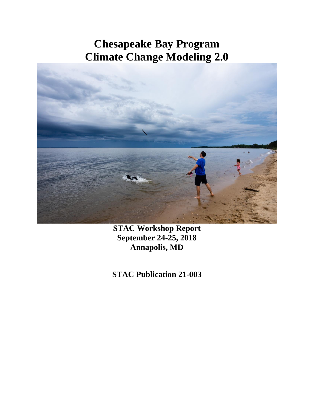# **Chesapeake Bay Program Climate Change Modeling 2.0**



**STAC Workshop Report September 24-25, 2018 Annapolis, MD**

**STAC Publication 21-003**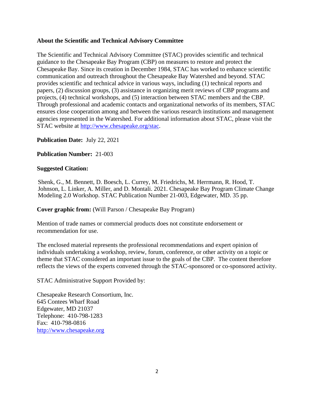## **About the Scientific and Technical Advisory Committee**

The Scientific and Technical Advisory Committee (STAC) provides scientific and technical guidance to the Chesapeake Bay Program (CBP) on measures to restore and protect the Chesapeake Bay. Since its creation in December 1984, STAC has worked to enhance scientific communication and outreach throughout the Chesapeake Bay Watershed and beyond. STAC provides scientific and technical advice in various ways, including (1) technical reports and papers, (2) discussion groups, (3) assistance in organizing merit reviews of CBP programs and projects, (4) technical workshops, and (5) interaction between STAC members and the CBP. Through professional and academic contacts and organizational networks of its members, STAC ensures close cooperation among and between the various research institutions and management agencies represented in the Watershed. For additional information about STAC, please visit the STAC website at [http://www.chesapeake.org/stac.](http://www.chesapeake.org/stac)

**Publication Date:** July 22, 2021

**Publication Number:** 21-003

## **Suggested Citation:**

Shenk, G., M. Bennett, D. Boesch, L. Currey, M. Friedrichs, M. Herrmann, R. Hood, T. Johnson, L. Linker, A. Miller, and D. Montali. 2021. Chesapeake Bay Program Climate Change Modeling 2.0 Workshop. STAC Publication Number 21-003, Edgewater, MD. 35 pp.

**Cover graphic from:** (Will Parson / Chesapeake Bay Program)

Mention of trade names or commercial products does not constitute endorsement or recommendation for use.

The enclosed material represents the professional recommendations and expert opinion of individuals undertaking a workshop, review, forum, conference, or other activity on a topic or theme that STAC considered an important issue to the goals of the CBP. The content therefore reflects the views of the experts convened through the STAC-sponsored or co-sponsored activity.

STAC Administrative Support Provided by:

Chesapeake Research Consortium, Inc. 645 Contees Wharf Road Edgewater, MD 21037 Telephone: 410-798-1283 Fax: 410-798-0816 [http://www.chesapeake.org](http://www.chesapeake.org/)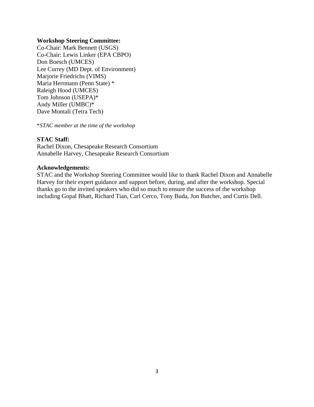## **Workshop Steering Committee:**

Co-Chair: Mark Bennett (USGS) Co-Chair: Lewis Linker (EPA CBPO) Don Boesch (UMCES) Lee Currey (MD Dept. of Environment) Marjorie Friedrichs (VIMS) Maria Herrmann (Penn State) \* Raleigh Hood (UMCES) Tom Johnson (USEPA)\* Andy Miller (UMBC)\* Dave Montali (Tetra Tech)

\**STAC member at the time of the workshop*

## **STAC Staff:**

Rachel Dixon, Chesapeake Research Consortium Annabelle Harvey, Chesapeake Research Consortium

## **Acknowledgements:**

STAC and the Workshop Steering Committee would like to thank Rachel Dixon and Annabelle Harvey for their expert guidance and support before, during, and after the workshop. Special thanks go to the invited speakers who did so much to ensure the success of the workshop including Gopal Bhatt, Richard Tian, Carl Cerco, Tony Buda, Jon Butcher, and Curtis Dell.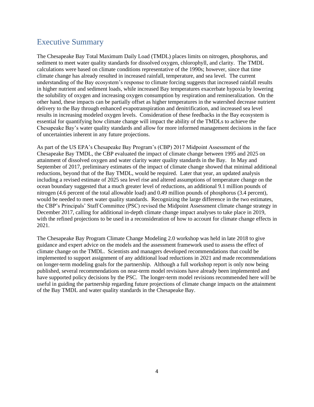## Executive Summary

The Chesapeake Bay Total Maximum Daily Load (TMDL) places limits on nitrogen, phosphorus, and sediment to meet water quality standards for dissolved oxygen, chlorophyll, and clarity. The TMDL calculations were based on climate conditions representative of the 1990s; however, since that time climate change has already resulted in increased rainfall, temperature, and sea level. The current understanding of the Bay ecosystem's response to climate forcing suggests that increased rainfall results in higher nutrient and sediment loads, while increased Bay temperatures exacerbate hypoxia by lowering the solubility of oxygen and increasing oxygen consumption by respiration and remineralization. On the other hand, these impacts can be partially offset as higher temperatures in the watershed decrease nutrient delivery to the Bay through enhanced evapotranspiration and denitrification, and increased sea level results in increasing modeled oxygen levels. Consideration of these feedbacks in the Bay ecosystem is essential for quantifying how climate change will impact the ability of the TMDLs to achieve the Chesapeake Bay's water quality standards and allow for more informed management decisions in the face of uncertainties inherent in any future projections.

As part of the US EPA's Chesapeake Bay Program's (CBP) 2017 Midpoint Assessment of the Chesapeake Bay TMDL, the CBP evaluated the impact of climate change between 1995 and 2025 on attainment of dissolved oxygen and water clarity water quality standards in the Bay. In May and September of 2017, preliminary estimates of the impact of climate change showed that minimal additional reductions, beyond that of the Bay TMDL, would be required. Later that year, an updated analysis including a revised estimate of 2025 sea level rise and altered assumptions of temperature change on the ocean boundary suggested that a much greater level of reductions, an additional 9.1 million pounds of nitrogen (4.6 percent of the total allowable load) and 0.49 million pounds of phosphorus (3.4 percent), would be needed to meet water quality standards. Recognizing the large difference in the two estimates, the CBP's Principals' Staff Committee (PSC) revised the Midpoint Assessment climate change strategy in December 2017, calling for additional in-depth climate change impact analyses to take place in 2019, with the refined projections to be used in a reconsideration of how to account for climate change effects in 2021.

The Chesapeake Bay Program Climate Change Modeling 2.0 workshop was held in late 2018 to give guidance and expert advice on the models and the assessment framework used to assess the effect of climate change on the TMDL. Scientists and managers developed recommendations that could be implemented to support assignment of any additional load reductions in 2021 and made recommendations on longer-term modeling goals for the partnership. Although a full workshop report is only now being published, several recommendations on near-term model revisions have already been implemented and have supported policy decisions by the PSC. The longer-term model revisions recommended here will be useful in guiding the partnership regarding future projections of climate change impacts on the attainment of the Bay TMDL and water quality standards in the Chesapeake Bay.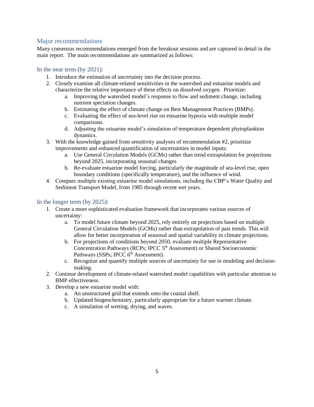## Major recommendations

Many consensus recommendations emerged from the breakout sessions and are captured in detail in the main report. The main recommendations are summarized as follows:

## In the near term (by 2021):

- 1. Introduce the estimation of uncertainty into the decision process.
- 2. Closely examine all climate-related sensitivities in the watershed and estuarine models and characterize the relative importance of these effects on dissolved oxygen. Prioritize:
	- a. Improving the watershed model's response to flow and sediment change, including nutrient speciation changes.
	- b. Estimating the effect of climate change on Best Management Practices (BMPs).
	- c. Evaluating the effect of sea-level rise on estuarine hypoxia with multiple model comparisons.
	- d. Adjusting the estuarine model's simulation of temperature dependent phytoplankton dynamics.
- 3. With the knowledge gained from sensitivity analyses of recommendation #2, prioritize improvements and enhanced quantification of uncertainties in model inputs:
	- a. Use General Circulation Models (GCMs) rather than trend extrapolation for projections beyond 2025, incorporating seasonal changes
	- b. Re-evaluate estuarine model forcing, particularly the magnitude of sea-level rise, open boundary conditions (specifically temperature), and the influence of wind.
- 4. Compare multiple existing estuarine model simulations, including the CBP's Water Quality and Sediment Transport Model, from 1985 through recent wet years.

## In the longer term (by 2025):

- 1. Create a more sophisticated evaluation framework that incorporates various sources of uncertainty:
	- a. To model future climate beyond 2025, rely entirely on projections based on multiple General Circulation Models (GCMs) rather than extrapolation of past trends. This will allow for better incorporation of seasonal and spatial variability in climate projections.
	- b. For projections of conditions beyond 2050, evaluate multiple Representative Concentration Pathways (RCPs; IPCC 5<sup>th</sup> Assessment) or Shared Socioeconomic Pathways (SSPs; IPCC  $6<sup>th</sup>$  Assessment).
	- c. Recognize and quantify multiple sources of uncertainty for use in modeling and decisionmaking.
- 2. Continue development of climate-related watershed model capabilities with particular attention to BMP effectiveness.
- 3. Develop a new estuarine model with:
	- a. An unstructured grid that extends onto the coastal shelf.
	- b. Updated biogeochemistry, particularly appropriate for a future warmer climate.
	- c. A simulation of wetting, drying, and waves.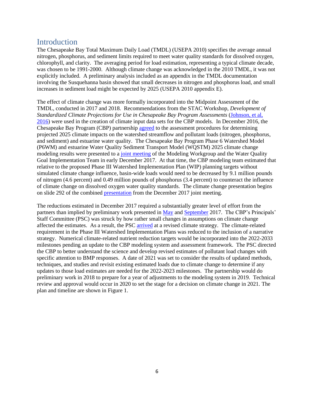## Introduction

The Chesapeake Bay Total Maximum Daily Load (TMDL) (USEPA 2010) specifies the average annual nitrogen, phosphorus, and sediment limits required to meet water quality standards for dissolved oxygen, chlorophyll, and clarity. The averaging period for load estimation, representing a typical climate decade, was chosen to be 1991-2000. Although climate change was acknowledged in the 2010 TMDL, it was not explicitly included. A preliminary analysis included as an appendix in the TMDL documentation involving the Susquehanna basin showed that small decreases in nitrogen and phosphorus load, and small increases in sediment load might be expected by 2025 (USEPA 2010 appendix E).

The effect of climate change was more formally incorporated into the Midpoint Assessment of the TMDL, conducted in 2017 and 2018. Recommendations from the STAC Workshop, *Development of Standardized Climate Projections for Use in Chesapeake Bay Program Assessments* [\(Johnson, et al,](https://www.chesapeake.org/stac/wp-content/uploads/2021/04/20161021_Final_STACClimateChangeWorkshopReport.pdf)  [2016\)](https://www.chesapeake.org/stac/wp-content/uploads/2021/04/20161021_Final_STACClimateChangeWorkshopReport.pdf) were used in the creation of climate input data sets for the CBP models. In December 2016, the Chesapeake Bay Program (CBP) partnership [agreed](https://www.chesapeakebay.net/channel_files/24456/psc_minutes_12.13.2016.pdf) to the assessment procedures for determining projected 2025 climate impacts on the watershed streamflow and pollutant loads (nitrogen, phosphorus, and sediment) and estuarine water quality. The Chesapeake Bay Program Phase 6 Watershed Model (P6WM) and estuarine Water Quality Sediment Transport Model (WQSTM) 2025 climate change modeling results were presented to [a joint meeting](https://www.chesapeakebay.net/what/event/joint_modeling_workgroup_and_water_quality_goal_implementation_team_meeting) of the Modeling Workgroup and the Water Quality Goal Implementation Team in early December 2017. At that time, the CBP modeling team estimated that relative to the proposed Phase III Watershed Implementation Plan (WIP) planning targets without simulated climate change influence, basin-wide loads would need to be decreased by 9.1 million pounds of nitrogen (4.6 percent) and 0.49 million pounds of phosphorus (3.4 percent) to counteract the influence of climate change on dissolved oxygen water quality standards. The climate change presentation begins on slide 292 of the combine[d presentation](https://www.chesapeakebay.net/channel_files/25782/wqgit_dec_4-5_2017_mpa_policy_decisions_briefing_presentation_story_board-12.3.17_jsadd.pdf) from the December 2017 joint meeting.

The reductions estimated in December 2017 required a substantially greater level of effort from the partners than implied by preliminary work presented in [May](https://www.chesapeakebay.net/channel_files/24983/mpa_climate_change_wqgit_5-8-17.pdf) and [September](https://www.chesapeakebay.net/channel_files/25465/cc_webinar_9-19-17.pdf) 2017. The CBP's Principals' Staff Committee (PSC) was struck by how rather small changes in assumptions on climate change affected the estimates. As a result, the PS[C arrived](https://www.chesapeakebay.net/channel_files/24601/draft_psc_actions_and_decisions_(12.20.17).pdf) at a revised climate strategy. The climate-related requirement in the Phase III Watershed Implementation Plans was reduced to the inclusion of a narrative strategy. Numerical climate-related nutrient reduction targets would be incorporated into the 2022-2033 milestones pending an update to the CBP modeling system and assessment framework. The PSC directed the CBP to better understand the science and develop revised estimates of pollutant load changes with specific attention to BMP responses. A date of 2021 was set to consider the results of updated methods, techniques, and studies and revisit existing estimated loads due to climate change to determine if any updates to those load estimates are needed for the 2022-2023 milestones. The partnership would do preliminary work in 2018 to prepare for a year of adjustments to the modeling system in 2019. Technical review and approval would occur in 2020 to set the stage for a decision on climate change in 2021. The plan and timeline are shown in [Figure 1.](#page-6-0)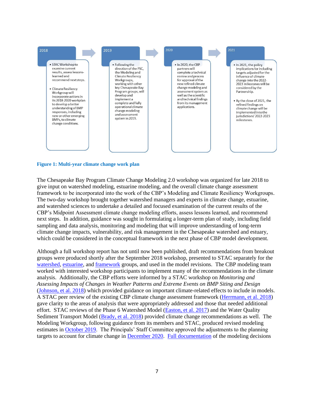

#### <span id="page-6-0"></span>**Figure 1: Multi-year climate change work plan**

The Chesapeake Bay Program Climate Change Modeling 2.0 workshop was organized for late 2018 to give input on watershed modeling, estuarine modeling, and the overall climate change assessment framework to be incorporated into the work of the CBP's Modeling and Climate Resiliency Workgroups. The two-day workshop brought together watershed managers and experts in climate change, estuarine, and watershed sciences to undertake a detailed and focused examination of the current results of the CBP's Midpoint Assessment climate change modeling efforts, assess lessons learned, and recommend next steps. In addition, guidance was sought in formulating a longer-term plan of study, including field sampling and data analysis, monitoring and modeling that will improve understanding of long-term climate change impacts, vulnerability, and risk management in the Chesapeake watershed and estuary, which could be considered in the conceptual framework in the next phase of CBP model development.

Although a full workshop report has not until now been published, draft recommendations from breakout groups were produced shortly after the September 2018 workshop, presented to STAC separately for the [watershed,](https://www.chesapeake.org/stac/wp-content/uploads/2021/06/Shenk-2018-12-07-STAC-CC20-WS-watershed-breakout-gary-shenk-1.pptx) [estuarine,](https://www.chesapeake.org/stac/wp-content/uploads/2021/06/Friedrichs_CCworkshop_STAC_slides_Dec2018-1.pdf) and [framework](https://www.chesapeake.org/stac/wp-content/uploads/2021/06/CC-Workshop_Group3_Summary_v2-1.pptx) groups, and used in the model revisions. The CBP modeling team worked with interested workshop participants to implement many of the recommendations in the climate analysis. Additionally, the CBP efforts were informed by a STAC workshop on *Monitoring and Assessing Impacts of Changes in Weather Patterns and Extreme Events on BMP Siting and Design* [\(Johnson, et al.](http://www.chesapeake.org/pubs/392_Johnson2018.pdf) 2018) which provided guidance on important climate-related effects to include in models. A STAC peer review of the existing CBP climate change assessment framework [\(Herrmann, et al.](http://www.chesapeake.org/pubs/386_Herrmann2018.pdf) 2018) gave clarity to the areas of analysis that were appropriately addressed and those that needed additional effort. STAC reviews of the Phase 6 Watershed Model [\(Easton, et al.](http://www.chesapeake.org/pubs/379_Easton2017.pdf) 2017) and the Water Quality Sediment Transport Model [\(Brady, et al.](http://www.chesapeake.org/pubs/388_Brady2018.pdf) 2018) provided climate change recommendations as well. The Modeling Workgroup, following guidance from its members and STAC, produced revised modeling estimates in [October 2019.](https://www.chesapeakebay.net/channel_files/38281/minutes_october_modeling_wg_quarterly_reivew.pdf) The Principals' Staff Committee approved the adjustments to the planning targets to account for climate change in [December 2020.](https://www.chesapeakebay.net/what/event/principals_staff_committee_meeting15) [Full documentation](file:///C:/Users/gshenk/Downloads/P6ModelDocumentation_ClimateChangeDocumentation%20(8).pdf) of the modeling decisions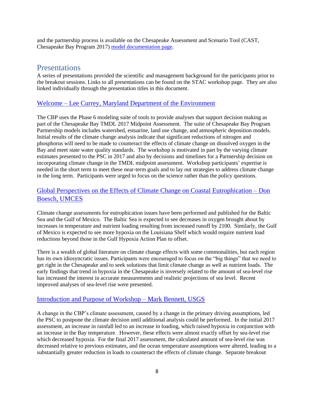and the partnership process is available on the Chesapeake Assessment and Scenario Tool (CAST, Chesapeake Bay Program 2017) [model documentation page.](https://cast.chesapeakebay.net/Documentation/ModelDocumentation)

## Presentations

A series of presentations provided the scientific and management background for the participants prior to the breakout sessions. Links to all presentations can be found on the STAC workshop page. They are also linked individually through the presentation titles in this document.

## Welcome – [Lee Currey, Maryland Department of the Environment](https://www.chesapeake.org/stac/wp-content/uploads/2021/04/Currey_Chesapeake-Bay-Program-Climate-Change-Modeling-2.pptx)

The CBP uses the Phase 6 modeling suite of tools to provide analyses that support decision making as part of the Chesapeake Bay TMDL 2017 Midpoint Assessment. The suite of Chesapeake Bay Program Partnership models includes watershed, estuarine, land use change, and atmospheric deposition models. Initial results of the climate change analysis indicate that significant reductions of nitrogen and phosphorus will need to be made to counteract the effects of climate change on dissolved oxygen in the Bay and meet state water quality standards. The workshop is motivated in part by the varying climate estimates presented to the PSC in 2017 and also by decisions and timelines for a Partnership decision on incorporating climate change in the TMDL midpoint assessment. Workshop participants' expertise is needed in the short term to meet these near-term goals and to lay out strategies to address climate change in the long term. Participants were urged to focus on the science rather than the policy questions.

## [Global Perspectives on the Effects of Climate Change on Coastal Eutrophication –](https://www.chesapeake.org/stac/wp-content/uploads/2021/04/Boesch-STAC-CC2.0.pptx) Don [Boesch, UMCES](https://www.chesapeake.org/stac/wp-content/uploads/2021/04/Boesch-STAC-CC2.0.pptx)

Climate change assessments for eutrophication issues have been performed and published for the Baltic Sea and the Gulf of Mexico. The Baltic Sea is expected to see decreases in oxygen brought about by increases in temperature and nutrient loading resulting from increased runoff by 2100. Similarly, the Gulf of Mexico is expected to see more hypoxia on the Louisiana Shelf which would require nutrient load reductions beyond those in the Gulf Hypoxia Action Plan to offset.

There is a wealth of global literature on climate change effects with some commonalities, but each region has its own idiosyncratic issues. Participants were encouraged to focus on the "big things" that we need to get right in the Chesapeake and to seek solutions that limit climate change as well as nutrient loads. The early findings that trend in hypoxia in the Chesapeake is inversely related to the amount of sea-level rise has increased the interest in accurate measurements and realistic projections of sea level. Recent improved analyses of sea-level rise were presented.

## [Introduction and Purpose of Workshop –](https://www.chesapeake.org/stac/wp-content/uploads/2021/04/Bennett_Monitoring-2.0-Intro-and-Purpose.pptx) Mark Bennett, USGS

A change in the CBP's climate assessment, caused by a change in the primary driving assumptions, led the PSC to postpone the climate decision until additional analysis could be performed. In the initial 2017 assessment, an increase in rainfall led to an increase in loading, which raised hypoxia in conjunction with an increase in the Bay temperature. However, these effects were almost exactly offset by sea-level rise which decreased hypoxia. For the final 2017 assessment, the calculated amount of sea-level rise was decreased relative to previous estimates, and the ocean temperature assumptions were altered, leading to a substantially greater reduction in loads to counteract the effects of climate change. Separate breakout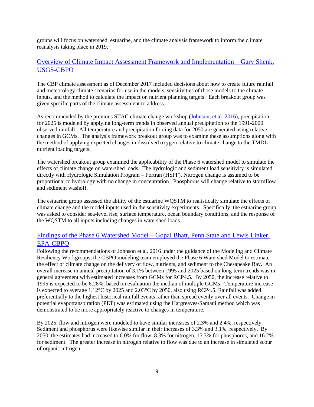groups will focus on watershed, estuarine, and the climate analysis framework to inform the climate reanalysis taking place in 2019.

## Overview of Climate Impact [Assessment Framework and Implementation –](https://www.chesapeake.org/stac/wp-content/uploads/2021/04/Overview_Climate-Impact-Assessment-Framework_Shenk.pdf) Gary Shenk, [USGS-CBPO](https://www.chesapeake.org/stac/wp-content/uploads/2021/04/Overview_Climate-Impact-Assessment-Framework_Shenk.pdf)

The CBP climate assessment as of December 2017 included decisions about how to create future rainfall and meteorology climate scenarios for use in the models, sensitivities of those models to the climate inputs, and the method to calculate the impact on nutrient planning targets. Each breakout group was given specific parts of the climate assessment to address.

As recommended by the previous STAC climate change workshop [\(Johnson, et al.](https://www.chesapeake.org/stac/wp-content/uploads/2021/04/20161021_Final_STACClimateChangeWorkshopReport.pdf) 2016), precipitation for 2025 is modeled by applying long-term trends in observed annual precipitation to the 1991-2000 observed rainfall. All temperature and precipitation forcing data for 2050 are generated using relative changes in GCMs. The analysis framework breakout group was to examine these assumptions along with the method of applying expected changes in dissolved oxygen relative to climate change to the TMDL nutrient loading targets.

The watershed breakout group examined the applicability of the Phase 6 watershed model to simulate the effects of climate change on watershed loads. The hydrologic and sediment load sensitivity is simulated directly with Hydrologic Simulation Program – Fortran (HSPF). Nitrogen change is assumed to be proportional to hydrology with no change in concentration. Phosphorus will change relative to stormflow and sediment washoff.

The estuarine group assessed the ability of the estuarine WQSTM to realistically simulate the effects of climate change and the model inputs used in the sensitivity experiments. Specifically, the estuarine group was asked to consider sea-level rise, surface temperature, ocean boundary conditions, and the response of the WQSTM to all inputs including changes in watershed loads.

## [Findings of the Phase 6 Watershed Model –](https://www.chesapeake.org/stac/wp-content/uploads/2021/04/BHATT-STAC-CC-WS-Application-of-Phase-6-Watershed-Model-to-Climate-Change-Assessment.pptx) Gopal Bhatt, Penn State and Lewis Linker, [EPA-CBPO](https://www.chesapeake.org/stac/wp-content/uploads/2021/04/BHATT-STAC-CC-WS-Application-of-Phase-6-Watershed-Model-to-Climate-Change-Assessment.pptx)

Following the recommendations of Johnson et al. 2016 under the guidance of the Modeling and Climate Resiliency Workgroups, the CBPO modeling team employed the Phase 6 Watershed Model to estimate the effect of climate change on the delivery of flow, nutrients, and sediment to the Chesapeake Bay. An overall increase in annual precipitation of 3.1% between 1995 and 2025 based on long-term trends was in general agreement with estimated increases from GCMs for RCP4.5. By 2050, the increase relative to 1995 is expected to be 6.28%, based on evaluation the median of multiple GCMs. Temperature increase is expected to average 1.12**°**C by 2025 and 2.03**°**C by 2050, also using RCP4.5. Rainfall was added preferentially to the highest historical rainfall events rather than spread evenly over all events. Change in potential evapotranspiration (PET) was estimated using the Hargreaves-Samani method which was demonstrated to be more appropriately reactive to changes in temperature.

By 2025, flow and nitrogen were modeled to have similar increases of 2.3% and 2.4%, respectively. Sediment and phosphorus were likewise similar in their increases of 3.3% and 3.1%, respectively. By 2050, the estimates had increased to 6.0% for flow, 8.3% for nitrogen, 15.3% for phosphorus, and 16.2% for sediment. The greater increase in nitrogen relative to flow was due to an increase in simulated scour of organic nitrogen.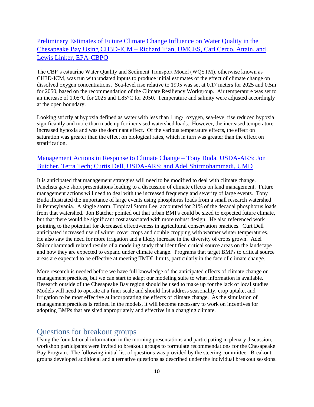[Preliminary Estimates of Future Climate Change Influence on Water Quality in the](https://www.chesapeake.org/stac/wp-content/uploads/2021/04/Findings-of-the-WQSTM_Tian.pdf)  Chesapeake Bay Using CH3D-ICM – [Richard Tian, UMCES, Carl Cerco, Attain, and](https://www.chesapeake.org/stac/wp-content/uploads/2021/04/Findings-of-the-WQSTM_Tian.pdf)  [Lewis Linker, EPA-CBPO](https://www.chesapeake.org/stac/wp-content/uploads/2021/04/Findings-of-the-WQSTM_Tian.pdf)

The CBP's estuarine Water Quality and Sediment Transport Model (WQSTM), otherwise known as CH3D-ICM, was run with updated inputs to produce initial estimates of the effect of climate change on dissolved oxygen concentrations. Sea-level rise relative to 1995 was set at 0.17 meters for 2025 and 0.5m for 2050, based on the recommendation of the Climate Resiliency Workgroup. Air temperature was set to an increase of 1.05**°**C for 2025 and 1.85**°**C for 2050. Temperature and salinity were adjusted accordingly at the open boundary.

Looking strictly at hypoxia defined as water with less than 1 mg/l oxygen, sea-level rise reduced hypoxia significantly and more than made up for increased watershed loads. However, the increased temperature increased hypoxia and was the dominant effect. Of the various temperature effects, the effect on saturation was greater than the effect on biological rates, which in turn was greater than the effect on stratification.

## [Management Actions in Response to Climate Change](https://www.chesapeake.org/stac/wp-content/uploads/2021/04/Round-Table_combined.pptx) – Tony Buda, USDA-ARS; Jon [Butcher, Tetra Tech; Curtis Dell, USDA-ARS; and Adel Shirmohammadi, UMD](https://www.chesapeake.org/stac/wp-content/uploads/2021/04/Round-Table_combined.pptx)

It is anticipated that management strategies will need to be modified to deal with climate change. Panelists gave short presentations leading to a discussion of climate effects on land management. Future management actions will need to deal with the increased frequency and severity of large events. Tony Buda illustrated the importance of large events using phosphorus loads from a small research watershed in Pennsylvania. A single storm, Tropical Storm Lee, accounted for 21% of the decadal phosphorus loads from that watershed. Jon Butcher pointed out that urban BMPs could be sized to expected future climate, but that there would be significant cost associated with more robust design. He also referenced work pointing to the potential for decreased effectiveness in agricultural conservation practices. Curt Dell anticipated increased use of winter cover crops and double cropping with warmer winter temperatures. He also saw the need for more irrigation and a likely increase in the diversity of crops grown. Adel Shirmohammadi related results of a modeling study that identified critical source areas on the landscape and how they are expected to expand under climate change. Programs that target BMPs to critical source areas are expected to be effective at meeting TMDL limits, particularly in the face of climate change.

More research is needed before we have full knowledge of the anticipated effects of climate change on management practices, but we can start to adapt our modeling suite to what information is available. Research outside of the Chesapeake Bay region should be used to make up for the lack of local studies. Models will need to operate at a finer scale and should first address seasonality, crop uptake, and irrigation to be most effective at incorporating the effects of climate change. As the simulation of management practices is refined in the models, it will become necessary to work on incentives for adopting BMPs that are sited appropriately and effective in a changing climate.

## Questions for breakout groups

Using the foundational information in the morning presentations and participating in plenary discussion, workshop participants were invited to breakout groups to formulate recommendations for the Chesapeake Bay Program. The following initial list of questions was provided by the steering committee. Breakout groups developed additional and alternative questions as described under the individual breakout sessions.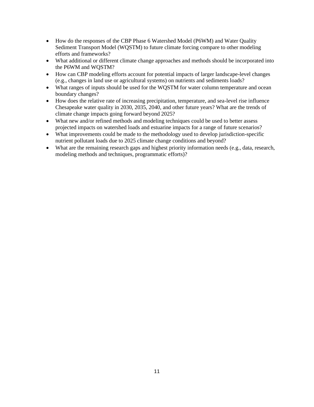- How do the responses of the CBP Phase 6 Watershed Model (P6WM) and Water Quality Sediment Transport Model (WQSTM) to future climate forcing compare to other modeling efforts and frameworks?
- What additional or different climate change approaches and methods should be incorporated into the P6WM and WQSTM?
- How can CBP modeling efforts account for potential impacts of larger landscape-level changes (e.g., changes in land use or agricultural systems) on nutrients and sediments loads?
- What ranges of inputs should be used for the WQSTM for water column temperature and ocean boundary changes?
- How does the relative rate of increasing precipitation, temperature, and sea-level rise influence Chesapeake water quality in 2030, 2035, 2040, and other future years? What are the trends of climate change impacts going forward beyond 2025?
- What new and/or refined methods and modeling techniques could be used to better assess projected impacts on watershed loads and estuarine impacts for a range of future scenarios?
- What improvements could be made to the methodology used to develop jurisdiction-specific nutrient pollutant loads due to 2025 climate change conditions and beyond?
- What are the remaining research gaps and highest priority information needs (e.g., data, research, modeling methods and techniques, programmatic efforts)?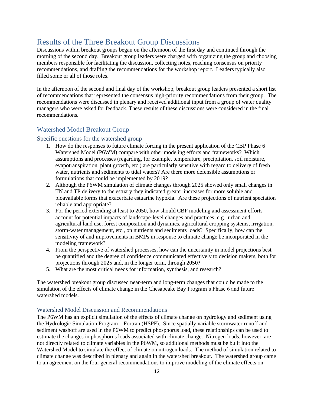## Results of the Three Breakout Group Discussions

Discussions within breakout groups began on the afternoon of the first day and continued through the morning of the second day. Breakout group leaders were charged with organizing the group and choosing members responsible for facilitating the discussion, collecting notes, reaching consensus on priority recommendations, and drafting the recommendations for the workshop report. Leaders typically also filled some or all of those roles.

In the afternoon of the second and final day of the workshop, breakout group leaders presented a short list of recommendations that represented the consensus high-priority recommendations from their group. The recommendations were discussed in plenary and received additional input from a group of water quality managers who were asked for feedback. These results of these discussions were considered in the final recommendations.

## Watershed Model Breakout Group

## Specific questions for the watershed group

- 1. How do the responses to future climate forcing in the present application of the CBP Phase 6 Watershed Model (P6WM) compare with other modeling efforts and frameworks? Which assumptions and processes (regarding, for example, temperature, precipitation, soil moisture, evapotranspiration, plant growth, etc.) are particularly sensitive with regard to delivery of fresh water, nutrients and sediments to tidal waters? Are there more defensible assumptions or formulations that could be implemented by 2019?
- 2. Although the P6WM simulation of climate changes through 2025 showed only small changes in TN and TP delivery to the estuary they indicated greater increases for more soluble and bioavailable forms that exacerbate estuarine hypoxia. Are these projections of nutrient speciation reliable and appropriate?
- 3. For the period extending at least to 2050, how should CBP modeling and assessment efforts account for potential impacts of landscape-level changes and practices, e.g., urban and agricultural land use, forest composition and dynamics, agricultural cropping systems, irrigation, storm-water management, etc., on nutrients and sediments loads? Specifically, how can the sensitivity of and improvements in BMPs in response to climate change be incorporated in the modeling framework?
- 4. From the perspective of watershed processes, how can the uncertainty in model projections best be quantified and the degree of confidence communicated effectively to decision makers, both for projections through 2025 and, in the longer term, through 2050?
- 5. What are the most critical needs for information, synthesis, and research?

The watershed breakout group discussed near-term and long-term changes that could be made to the simulation of the effects of climate change in the Chesapeake Bay Program's Phase 6 and future watershed models.

#### Watershed Model Discussion and Recommendations

The P6WM has an explicit simulation of the effects of climate change on hydrology and sediment using the Hydrologic Simulation Program – Fortran (HSPF). Since spatially variable stormwater runoff and sediment washoff are used in the P6WM to predict phosphorus load, these relationships can be used to estimate the changes in phosphorus loads associated with climate change. Nitrogen loads, however, are not directly related to climate variables in the P6WM, so additional methods must be built into the Watershed Model to simulate the effect of climate on nitrogen loads. The method of simulation related to climate change was described in plenary and again in the watershed breakout. The watershed group came to an agreement on the four general recommendations to improve modeling of the climate effects on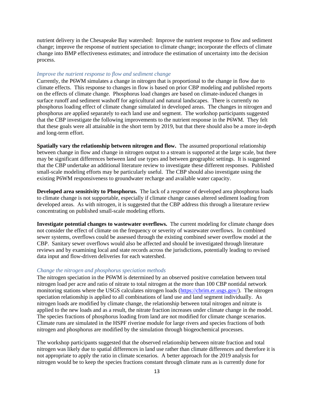nutrient delivery in the Chesapeake Bay watershed: Improve the nutrient response to flow and sediment change; improve the response of nutrient speciation to climate change; incorporate the effects of climate change into BMP effectiveness estimates; and introduce the estimation of uncertainty into the decision process.

#### *Improve the nutrient response to flow and sediment change*

Currently, the P6WM simulates a change in nitrogen that is proportional to the change in flow due to climate effects. This response to changes in flow is based on prior CBP modeling and published reports on the effects of climate change. Phosphorus load changes are based on climate-induced changes in surface runoff and sediment washoff for agricultural and natural landscapes. There is currently no phosphorus loading effect of climate change simulated in developed areas. The changes in nitrogen and phosphorus are applied separately to each land use and segment. The workshop participants suggested that the CBP investigate the following improvements to the nutrient response in the P6WM. They felt that these goals were all attainable in the short term by 2019, but that there should also be a more in-depth and long-term effort.

**Spatially vary the relationship between nitrogen and flow.** The assumed proportional relationship between change in flow and change in nitrogen output to a stream is supported at the large scale, but there may be significant differences between land use types and between geographic settings. It is suggested that the CBP undertake an additional literature review to investigate these different responses. Published small-scale modeling efforts may be particularly useful. The CBP should also investigate using the existing P6WM responsiveness to groundwater recharge and available water capacity.

**Developed area sensitivity to Phosphorus.** The lack of a response of developed area phosphorus loads to climate change is not supportable, especially if climate change causes altered sediment loading from developed areas. As with nitrogen, it is suggested that the CBP address this through a literature review concentrating on published small-scale modeling efforts.

**Investigate potential changes to wastewater overflows.** The current modeling for climate change does not consider the effect of climate on the frequency or severity of wastewater overflows. In combined sewer systems, overflows could be assessed through the existing combined sewer overflow model at the CBP. Sanitary sewer overflows would also be affected and should be investigated through literature reviews and by examining local and state records across the jurisdictions, potentially leading to revised data input and flow-driven deliveries for each watershed.

#### *Change the nitrogen and phosphorus speciation methods*

The nitrogen speciation in the P6WM is determined by an observed positive correlation between total nitrogen load per acre and ratio of nitrate to total nitrogen at the more than 100 CBP nontidal network monitoring stations where the USGS calculates nitrogen loads [\(https://cbrim.er.usgs.gov/\)](https://cbrim.er.usgs.gov/). The nitrogen speciation relationship is applied to all combinations of land use and land segment individually. As nitrogen loads are modified by climate change, the relationship between total nitrogen and nitrate is applied to the new loads and as a result, the nitrate fraction increases under climate change in the model. The species fractions of phosphorus loading from land are not modified for climate change scenarios. Climate runs are simulated in the HSPF riverine module for large rivers and species fractions of both nitrogen and phosphorus are modified by the simulation through biogeochemical processes.

The workshop participants suggested that the observed relationship between nitrate fraction and total nitrogen was likely due to spatial differences in land use rather than climate differences and therefore it is not appropriate to apply the ratio in climate scenarios. A better approach for the 2019 analysis for nitrogen would be to keep the species fractions constant through climate runs as is currently done for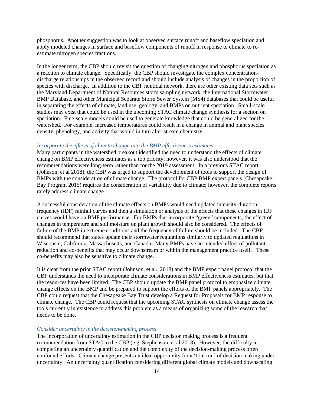phosphorus. Another suggestion was to look at observed surface runoff and baseflow speciation and apply modeled changes in surface and baseflow components of runoff in response to climate to reestimate nitrogen species fractions.

In the longer term, the CBP should revisit the question of changing nitrogen and phosphorus speciation as a reaction to climate change. Specifically, the CBP should investigate the complex concentrationdischarge relationships in the observed record and should include analysis of changes in the proportion of species with discharge. In addition to the CBP nontidal network, there are other existing data sets such as the Maryland Department of Natural Resources storm sampling network, the International Stormwater BMP Database, and other Municipal Separate Storm Sewer System (MS4) databases that could be useful in separating the effects of climate, land use, geology, and BMPs on nutrient speciation. Small-scale studies may exist that could be used in the upcoming STAC climate change synthesis for a section on speciation. Fine-scale models could be used to generate knowledge that could be generalized for the watershed. For example, increased temperatures could result in a change in animal and plant species density, phenology, and activity that would in turn alter stream chemistry.

#### *Incorporate the effects of climate change into the BMP effectiveness estimates*

Many participants in the watershed breakout identified the need to understand the effects of climate change on BMP effectiveness estimates as a top priority; however, it was also understood that the recommendations were long-term rather than for the 2019 assessment. In a previous STAC report (Johnson, et al 2018), the CBP was urged to support the development of tools to support the design of BMPs with the consideration of climate change. The protocol for CBP BMP expert panels (Chesapeake Bay Program 2015) requires the consideration of variability due to climate; however, the complete reports rarely address climate change.

A successful consideration of the climate effects on BMPs would need updated intensity-durationfrequency (IDF) rainfall curves and then a simulation or analysis of the effects that these changes in IDF curves would have on BMP performance. For BMPs that incorporate "green" components, the effect of changes in temperature and soil moisture on plant growth should also be considered. The effects of failure of the BMP in extreme conditions and the frequency of failure should be included. The CBP should recommend that states update their stormwater regulations similarly to updated regulations in Wisconsin, California, Massachusetts, and Canada. Many BMPs have an intended effect of pollutant reduction and co-benefits that may occur downstream or within the management practice itself. These co-benefits may also be sensitive to climate change.

It is clear from the prior STAC report (Johnson, et al., 2018) and the BMP expert panel protocol that the CBP understands the need to incorporate climate considerations in BMP effectiveness estimates, but that the resources have been limited. The CBP should update the BMP panel protocol to emphasize climate change effects on the BMP and be prepared to support the efforts of the BMP panels appropriately. The CBP could request that the Chesapeake Bay Trust develop a Request for Proposals for BMP response to climate change. The CBP could request that the upcoming STAC synthesis on climate change assess the tools currently in existence to address this problem as a means of organizing some of the research that needs to be done.

#### *Consider uncertainty in the decision-making process*

The incorporation of uncertainty estimation in the CBP decision making process is a frequent recommendation from STAC to the CBP (e.g. Stephenson, et al 2018). However, the difficulty in completing an uncertainty quantification and the complexity of the decision-making process often confound efforts. Climate change presents an ideal opportunity for a 'trial run' of decision making under uncertainty. An uncertainty quantification considering different global climate models and downscaling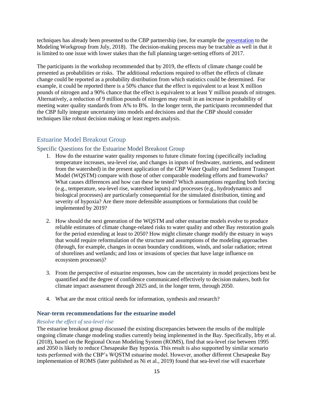techniques has already been presented to the CBP partnership (see, for example the [presentation](https://www.chesapeakebay.net/channel_files/25921/20180710_-_bhatt_-_mwqm_-_application_of_the_phase_6_to_climate_change_assessment.pdf) to the Modeling Workgroup from July, 2018). The decision-making process may be tractable as well in that it is limited to one issue with lower stakes than the full planning target-setting efforts of 2017.

The participants in the workshop recommended that by 2019, the effects of climate change could be presented as probabilities or risks. The additional reductions required to offset the effects of climate change could be reported as a probability distribution from which statistics could be determined. For example, it could be reported there is a 50% chance that the effect is equivalent to at least X million pounds of nitrogen and a 90% chance that the effect is equivalent to at least Y million pounds of nitrogen. Alternatively, a reduction of 9 million pounds of nitrogen may result in an increase in probability of meeting water quality standards from A% to B%. In the longer term, the participants recommended that the CBP fully integrate uncertainty into models and decisions and that the CBP should consider techniques like robust decision making or least regrets analysis.

#### Estuarine Model Breakout Group

#### Specific Questions for the Estuarine Model Breakout Group

- 1. How do the estuarine water quality responses to future climate forcing (specifically including temperature increases, sea-level rise, and changes in inputs of freshwater, nutrients, and sediment from the watershed) in the present application of the CBP Water Quality and Sediment Transport Model (WQSTM) compare with those of other comparable modeling efforts and frameworks? What causes differences and how can these be tested? Which assumptions regarding both forcing (e.g., temperature, sea-level rise, watershed inputs) and processes (e.g., hydrodynamics and biological processes) are particularly consequential for the simulated distribution, timing and severity of hypoxia? Are there more defensible assumptions or formulations that could be implemented by 2019?
- 2. How should the next generation of the WQSTM and other estuarine models evolve to produce reliable estimates of climate change-related risks to water quality and other Bay restoration goals for the period extending at least to 2050? How might climate change modify the estuary in ways that would require reformulation of the structure and assumptions of the modeling approaches (through, for example, changes in ocean boundary conditions, winds, and solar radiation; retreat of shorelines and wetlands; and loss or invasions of species that have large influence on ecosystem processes)?
- 3. From the perspective of estuarine responses, how can the uncertainty in model projections best be quantified and the degree of confidence communicated effectively to decision makers, both for climate impact assessment through 2025 and, in the longer term, through 2050.
- 4. What are the most critical needs for information, synthesis and research?

#### **Near-term recommendations for the estuarine model**

#### *Resolve the effect of sea-level rise*

The estuarine breakout group discussed the existing discrepancies between the results of the multiple ongoing climate change modeling studies currently being implemented in the Bay. Specifically, Irby et al. (2018), based on the Regional Ocean Modeling System (ROMS), find that sea-level rise between 1995 and 2050 is likely to reduce Chesapeake Bay hypoxia. This result is also supported by similar scenario tests performed with the CBP's WQSTM estuarine model. However, another different Chesapeake Bay implementation of ROMS (later published as Ni et al., 2019) found that sea-level rise will exacerbate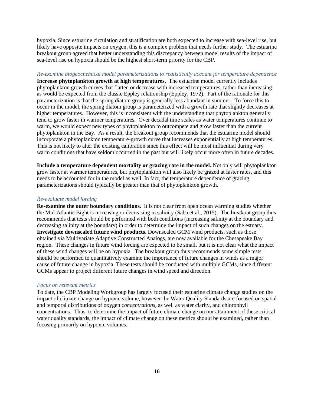hypoxia. Since estuarine circulation and stratification are both expected to increase with sea-level rise, but likely have opposite impacts on oxygen, this is a complex problem that needs further study. The estuarine breakout group agreed that better understanding this discrepancy between model results of the impact of sea-level rise on hypoxia should be the highest short-term priority for the CBP.

#### *Re-examine biogeochemical model parameterizations to realistically account for temperature dependence*

**Increase phytoplankton growth at high temperatures.** The estuarine model currently includes phytoplankton growth curves that flatten or decrease with increased temperatures, rather than increasing as would be expected from the classic Eppley relationship (Eppley, 1972). Part of the rationale for this parameterization is that the spring diatom group is generally less abundant in summer. To force this to occur in the model, the spring diatom group is parameterized with a growth rate that slightly decreases at higher temperatures. However, this is inconsistent with the understanding that phytoplankton generally tend to grow faster in warmer temperatures. Over decadal time scales as water temperatures continue to warm, we would expect new types of phytoplankton to outcompete and grow faster than the current phytoplankton in the Bay. As a result, the breakout group recommends that the estuarine model should incorporate a phytoplankton temperature-growth curve that increases exponentially at high temperatures. This is not likely to alter the existing calibration since this effect will be most influential during very warm conditions that have seldom occurred in the past but will likely occur more often in future decades.

**Include a temperature dependent mortality or grazing rate in the model.** Not only will phytoplankton grow faster at warmer temperatures, but phytoplankton will also likely be grazed at faster rates, and this needs to be accounted for in the model as well. In fact, the temperature dependence of grazing parameterizations should typically be greater than that of phytoplankton growth.

#### *Re-evaluate model forcing*

**Re-examine the outer boundary conditions.** It is not clear from open ocean warming studies whether the Mid-Atlantic Bight is increasing or decreasing in salinity (Saba et al., 2015). The breakout group thus recommends that tests should be performed with both conditions (increasing salinity at the boundary and decreasing salinity at the boundary) in order to determine the impact of such changes on the estuary. **Investigate downscaled future wind products.** Downscaled GCM wind products, such as those obtained via Multivariate Adaptive Constructed Analogs, are now available for the Chesapeake Bay region. These changes in future wind forcing are expected to be small, but it is not clear what the impact of these wind changes will be on hypoxia. The breakout group thus recommends some simple tests should be performed to quantitatively examine the importance of future changes in winds as a major cause of future change in hypoxia. These tests should be conducted with multiple GCMs, since different GCMs appear to project different future changes in wind speed and direction.

#### *Focus on relevant metrics*

To date, the CBP Modeling Workgroup has largely focused their estuarine climate change studies on the impact of climate change on hypoxic volume, however the Water Quality Standards are focused on spatial and temporal distributions of oxygen *concentrations*, as well as water clarity, and chlorophyll concentrations. Thus, to determine the impact of future climate change on our attainment of these critical water quality standards, the impact of climate change on these metrics should be examined, rather than focusing primarily on hypoxic volumes.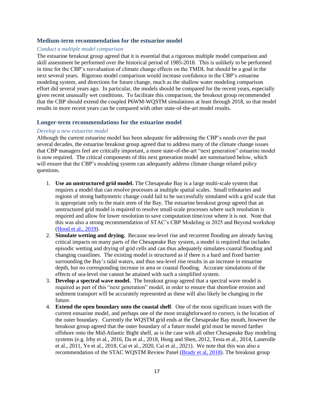#### **Medium-term recommendation for the estuarine model**

#### *Conduct a multiple model comparison*

The estuarine breakout group agreed that it is essential that a rigorous multiple model comparison and skill assessment be performed over the historical period of 1985-2018. This is unlikely to be performed in time for the CBP's reevaluation of climate change effects on the TMDL but should be a goal in the next several years. Rigorous model comparison would increase confidence in the CBP's estuarine modeling system, and directions for future change, much as the shallow water modeling comparison effort did several years ago. In particular, the models should be compared for the recent years, especially given recent unusually wet conditions. To facilitate this comparison, the breakout group recommended that the CBP should extend the coupled P6WM-WQSTM simulations at least through 2018, so that model results in more recent years can be compared with other state-of-the-art model results.

#### **Longer-term recommendations for the estuarine model**

#### *Develop a new estuarine model*

Although the current estuarine model has been adequate for addressing the CBP's needs over the past several decades, the estuarine breakout group agreed that to address many of the climate change issues that CBP managers feel are critically important, a more state-of-the-art "next generation" estuarine model is now required. The critical components of this next generation model are summarized below, which will ensure that the CBP's modeling system can adequately address climate change related policy questions.

- 1. **Use an unstructured grid model.** The Chesapeake Bay is a large multi-scale system that requires a model that can resolve processes at multiple spatial scales. Small tributaries and regions of strong bathymetric change could fail to be successfully simulated with a grid scale that is appropriate only to the main stem of the Bay. The estuarine breakout group agreed that an unstructured grid model is required to resolve small-scale processes where such resolution is required and allow for lower resolution to save computation time/cost where it is not. Note that this was also a strong recommendation of STAC's CBP Modeling in 2025 and Beyond workshop [\(Hood et al.,](http://www.chesapeake.org/pubs/401_Hood2019.pdf) 2019).
- 2. **Simulate wetting and drying.** Because sea-level rise and recurrent flooding are already having critical impacts on many parts of the Chesapeake Bay system, a model is required that includes episodic wetting and drying of grid cells and can thus adequately simulates coastal flooding and changing coastlines. The existing model is structured as if there is a hard and fixed barrier surrounding the Bay's tidal waters, and thus sea-level rise results in an increase in estuarine depth, but no corresponding increase in area or coastal flooding. Accurate simulations of the effects of sea-level rise cannot be attained with such a simplified system.
- 3. **Develop a spectral wave model.** The breakout group agreed that a spectral wave model is required as part of this "next generation" model, in order to ensure that shoreline erosion and sediment transport will be accurately represented as these will also likely be changing in the future.
- 4. **Extend the open boundary onto the coastal shelf**. One of the most significant issues with the current estuarine model, and perhaps one of the most straightforward to correct, is the location of the outer boundary. Currently the WQSTM grid ends at the Chesapeake Bay mouth, however the breakout group agreed that the outer boundary of a future model grid must be moved farther offshore onto the Mid-Atlantic Bight shelf, as is the case with all other Chesapeake Bay modeling systems (e.g. Irby et al., 2016, Da et al., 2018, Hong and Shen, 2012, Testa et al., 2014, Lanerolle et al., 2011, Ye et al., 2018, Cai et al., 2020, Cai et al., 2021). We note that this was also a recommendation of the STAC WQSTM Review Panel [\(Brady et al, 2018\)](http://www.chesapeake.org/pubs/388_Brady2018.pdf). The breakout group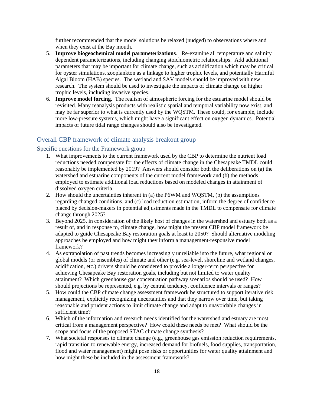further recommended that the model solutions be relaxed (nudged) to observations where and when they exist at the Bay mouth.

- 5. **Improve biogeochemical model parameterizations**. Re-examine all temperature and salinity dependent parameterizations, including changing stoichiometric relationships. Add additional parameters that may be important for climate change, such as acidification which may be critical for oyster simulations, zooplankton as a linkage to higher trophic levels, and potentially Harmful Algal Bloom (HAB) species. The wetland and SAV models should be improved with new research. The system should be used to investigate the impacts of climate change on higher trophic levels, including invasive species.
- 6. **Improve model forcing.** The realism of atmospheric forcing for the estuarine model should be revisited. Many reanalysis products with realistic spatial and temporal variability now exist, and may be far superior to what is currently used by the WQSTM. These could, for example, include more low-pressure systems, which might have a significant effect on oxygen dynamics. Potential impacts of future tidal range changes should also be investigated.

## Overall CBP framework of climate analysis breakout group

#### Specific questions for the Framework group

- 1. What improvements to the current framework used by the CBP to determine the nutrient load reductions needed compensate for the effects of climate change in the Chesapeake TMDL could reasonably be implemented by 2019? Answers should consider both the deliberations on (a) the watershed and estuarine components of the current model framework and (b) the methods employed to estimate additional load reductions based on modeled changes in attainment of dissolved oxygen criteria.
- 2. How should the uncertainties inherent in (a) the P6WM and WQSTM, (b) the assumptions regarding changed conditions, and (c) load reduction estimation, inform the degree of confidence placed by decision-makers in potential adjustments made in the TMDL to compensate for climate change through 2025?
- 3. Beyond 2025, in consideration of the likely host of changes in the watershed and estuary both as a result of, and in response to, climate change, how might the present CBP model framework be adapted to guide Chesapeake Bay restoration goals at least to 2050? Should alternative modeling approaches be employed and how might they inform a management-responsive model framework?
- 4. As extrapolation of past trends becomes increasingly unreliable into the future, what regional or global models (or ensembles) of climate and other (e.g. sea-level, shoreline and wetland changes, acidification, etc.) drivers should be considered to provide a longer-term perspective for achieving Chesapeake Bay restoration goals, including but not limited to water quality attainment? Which greenhouse gas concentration pathway scenarios should be used? How should projections be represented, e.g. by central tendency, confidence intervals or ranges?
- 5. How could the CBP climate change assessment framework be structured to support iterative risk management, explicitly recognizing uncertainties and that they narrow over time, but taking reasonable and prudent actions to limit climate change and adapt to unavoidable changes in sufficient time?
- 6. Which of the information and research needs identified for the watershed and estuary are most critical from a management perspective? How could these needs be met? What should be the scope and focus of the proposed STAC climate change synthesis?
- 7. What societal responses to climate change (e.g., greenhouse gas emission reduction requirements, rapid transition to renewable energy, increased demand for biofuels, food supplies, transportation, flood and water management) might pose risks or opportunities for water quality attainment and how might these be included in the assessment framework?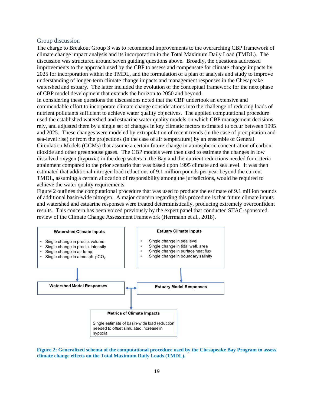#### Group discussion

The charge to Breakout Group 3 was to recommend improvements to the overarching CBP framework of climate change impact analysis and its incorporation in the Total Maximum Daily Load (TMDL). The discussion was structured around seven guiding questions above. Broadly, the questions addressed improvements to the approach used by the CBP to assess and compensate for climate change impacts by 2025 for incorporation within the TMDL, and the formulation of a plan of analysis and study to improve understanding of longer-term climate change impacts and management responses in the Chesapeake watershed and estuary. The latter included the evolution of the conceptual framework for the next phase of CBP model development that extends the horizon to 2050 and beyond.

In considering these questions the discussions noted that the CBP undertook an extensive and commendable effort to incorporate climate change considerations into the challenge of reducing loads of nutrient pollutants sufficient to achieve water quality objectives. The applied computational procedure used the established watershed and estuarine water quality models on which CBP management decisions rely, and adjusted them by a single set of changes in key climatic factors estimated to occur between 1995 and 2025. These changes were modeled by extrapolation of recent trends (in the case of precipitation and sea-level rise) or from the projections (in the case of air temperature) by an ensemble of General Circulation Models (GCMs) that assume a certain future change in atmospheric concentration of carbon dioxide and other greenhouse gases. The CBP models were then used to estimate the changes in low dissolved oxygen (hypoxia) in the deep waters in the Bay and the nutrient reductions needed for criteria attainment compared to the prior scenario that was based upon 1995 climate and sea level. It was then estimated that additional nitrogen load reductions of 9.1 million pounds per year beyond the current TMDL, assuming a certain allocation of responsibility among the jurisdictions, would be required to achieve the water quality requirements.

[Figure](#page-18-0) 2 outlines the computational procedure that was used to produce the estimate of 9.1 million pounds of additional basin-wide nitrogen. A major concern regarding this procedure is that future climate inputs and watershed and estuarine responses were treated deterministically, producing extremely overconfident results. This concern has been voiced previously by the expert panel that conducted STAC-sponsored review of the Climate Change Assessment Framework (Herrmann et al., 2018).



<span id="page-18-1"></span><span id="page-18-0"></span>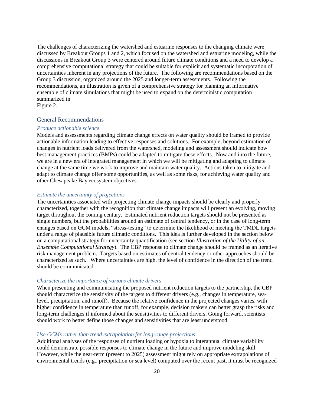The challenges of characterizing the watershed and estuarine responses to the changing climate were discussed by Breakout Groups 1 and 2, which focused on the watershed and estuarine modeling, while the discussions in Breakout Group 3 were centered around future climate conditions and a need to develop a comprehensive computational strategy that could be suitable for explicit and systematic incorporation of uncertainties inherent in any projections of the future. The following are recommendations based on the Group 3 discussion, organized around the 2025 and longer-term assessments. Following the recommendations, an illustration is given of a comprehensive strategy for planning an informative ensemble of climate simulations that might be used to expand on the deterministic computation summarized in

[Figure](#page-18-0) 2.

#### General Recommendations

#### *Produce actionable science*

Models and assessments regarding climate change effects on water quality should be framed to provide actionable information leading to effective responses and solutions. For example, beyond estimation of changes in nutrient loads delivered from the watershed, modeling and assessment should indicate how best management practices (BMPs) could be adapted to mitigate these effects. Now and into the future, we are in a new era of integrated management in which we will be mitigating and adapting to climate change at the same time we work to improve and maintain water quality. Actions taken to mitigate and adapt to climate change offer some opportunities, as well as some risks, for achieving water quality and other Chesapeake Bay ecosystem objectives.

#### *Estimate the uncertainty of projections*

The uncertainties associated with projecting climate change impacts should be clearly and properly characterized, together with the recognition that climate change impacts will present an evolving, moving target throughout the coming century. Estimated nutrient reduction targets should not be presented as single numbers, but the probabilities around an estimate of central tendency, or in the case of long-term changes based on GCM models, "stress-testing" to determine the likelihood of meeting the TMDL targets under a range of plausible future climatic conditions. This idea is further developed in the section below on a computational strategy for uncertainty quantification (see section *Illustration of the Utility of an Ensemble Computational Strategy*). The CBP response to climate change should be framed as an iterative risk management problem. Targets based on estimates of central tendency or other approaches should be characterized as such. Where uncertainties are high, the level of confidence in the direction of the trend should be communicated.

#### *Characterize the importance of various climate drivers*

When presenting and communicating the proposed nutrient reduction targets to the partnership, the CBP should characterize the sensitivity of the targets to different drivers (e.g., changes in temperature, sealevel, precipitation, and runoff). Because the relative confidence in the projected changes varies, with higher confidence in temperature than runoff, for example, decision makers can better grasp the risks and long-term challenges if informed about the sensitivities to different drivers. Going forward, scientists should work to better define those changes and sensitivities that are least understood.

#### *Use GCMs rather than trend extrapolation for long-range projections*

Additional analyses of the responses of nutrient loading or hypoxia to interannual climate variability could demonstrate possible responses to climate change in the future and improve modeling skill. However, while the near-term (present to 2025) assessment might rely on appropriate extrapolations of environmental trends (e.g., precipitation or sea level) computed over the recent past, it must be recognized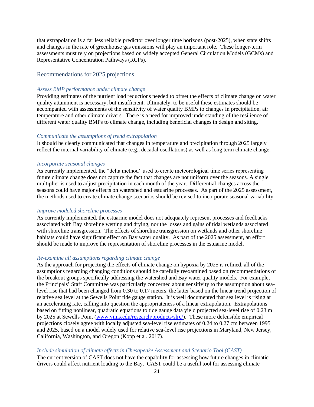that extrapolation is a far less reliable predictor over longer time horizons (post-2025), when state shifts and changes in the rate of greenhouse gas emissions will play an important role. These longer-term assessments must rely on projections based on widely accepted General Circulation Models (GCMs) and Representative Concentration Pathways (RCPs).

#### Recommendations for 2025 projections

#### *Assess BMP performance under climate change*

Providing estimates of the nutrient load reductions needed to offset the effects of climate change on water quality attainment is necessary, but insufficient. Ultimately, to be useful these estimates should be accompanied with assessments of the sensitivity of water quality BMPs to changes in precipitation, air temperature and other climate drivers. There is a need for improved understanding of the resilience of different water quality BMPs to climate change, including beneficial changes in design and siting.

#### *Communicate the assumptions of trend extrapolation*

It should be clearly communicated that changes in temperature and precipitation through 2025 largely reflect the internal variability of climate (e.g., decadal oscillations) as well as long term climate change.

#### *Incorporate seasonal changes*

As currently implemented, the "delta method" used to create meteorological time series representing future climate change does not capture the fact that changes are not uniform over the seasons. A single multiplier is used to adjust precipitation in each month of the year. Differential changes across the seasons could have major effects on watershed and estuarine processes. As part of the 2025 assessment, the methods used to create climate change scenarios should be revised to incorporate seasonal variability.

#### *Improve modeled shoreline processes*

As currently implemented, the estuarine model does not adequately represent processes and feedbacks associated with Bay shoreline wetting and drying, nor the losses and gains of tidal wetlands associated with shoreline transgression. The effects of shoreline transgression on wetlands and other shoreline habitats could have significant effect on Bay water quality. As part of the 2025 assessment, an effort should be made to improve the representation of shoreline processes in the estuarine model.

#### *Re-examine all assumptions regarding climate change*

As the approach for projecting the effects of climate change on hypoxia by 2025 is refined, all of the assumptions regarding changing conditions should be carefully reexamined based on recommendations of the breakout groups specifically addressing the watershed and Bay water quality models. For example, the Principals' Staff Committee was particularly concerned about sensitivity to the assumption about sealevel rise that had been changed from 0.30 to 0.17 meters, the latter based on the linear trend projection of relative sea level at the Sewells Point tide gauge station. It is well documented that sea level is rising at an accelerating rate, calling into question the appropriateness of a linear extrapolation. Extrapolations based on fitting nonlinear, quadratic equations to tide gauge data yield projected sea-level rise of 0.23 m by 2025 at Sewells Point [\(www.vims.edu/research/products/slrc/\)](http://www.vims.edu/research/products/slrc/). These more defensible empirical projections closely agree with locally adjusted sea-level rise estimates of 0.24 to 0.27 cm between 1995 and 2025, based on a model widely used for relative sea-level rise projections in Maryland, New Jersey, California, Washington, and Oregon (Kopp et al. 2017).

#### *Include simulation of climate effects in Chesapeake Assessment and Scenario Tool (CAST)*

The current version of CAST does not have the capability for assessing how future changes in climatic drivers could affect nutrient loading to the Bay. CAST could be a useful tool for assessing climate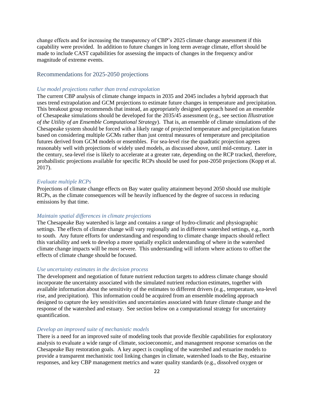change effects and for increasing the transparency of CBP's 2025 climate change assessment if this capability were provided. In addition to future changes in long term average climate, effort should be made to include CAST capabilities for assessing the impacts of changes in the frequency and/or magnitude of extreme events.

Recommendations for 2025-2050 projections

#### *Use model projections rather than trend extrapolation*

The current CBP analysis of climate change impacts in 2035 and 2045 includes a hybrid approach that uses trend extrapolation and GCM projections to estimate future changes in temperature and precipitation. This breakout group recommends that instead, an appropriately designed approach based on an ensemble of Chesapeake simulations should be developed for the 2035/45 assessment (e.g., see section *Illustration of the Utility of an Ensemble Computational Strategy*). That is, an ensemble of climate simulations of the Chesapeake system should be forced with a likely range of projected temperature and precipitation futures based on considering multiple GCMs rather than just central measures of temperature and precipitation futures derived from GCM models or ensembles. For sea-level rise the quadratic projection agrees reasonably well with projections of widely used models, as discussed above, until mid-century. Later in the century, sea-level rise is likely to accelerate at a greater rate, depending on the RCP tracked, therefore, probabilistic projections available for specific RCPs should be used for post-2050 projections (Kopp et al. 2017).

#### *Evaluate multiple RCPs*

Projections of climate change effects on Bay water quality attainment beyond 2050 should use multiple RCPs, as the climate consequences will be heavily influenced by the degree of success in reducing emissions by that time.

#### *Maintain spatial differences in climate projections*

The Chesapeake Bay watershed is large and contains a range of hydro-climatic and physiographic settings. The effects of climate change will vary regionally and in different watershed settings, e.g., north to south. Any future efforts for understanding and responding to climate change impacts should reflect this variability and seek to develop a more spatially explicit understanding of where in the watershed climate change impacts will be most severe. This understanding will inform where actions to offset the effects of climate change should be focused.

#### *Use uncertainty estimates in the decision process*

The development and negotiation of future nutrient reduction targets to address climate change should incorporate the uncertainty associated with the simulated nutrient reduction estimates, together with available information about the sensitivity of the estimates to different drivers (e.g., temperature, sea-level rise, and precipitation). This information could be acquired from an ensemble modeling approach designed to capture the key sensitivities and uncertainties associated with future climate change and the response of the watershed and estuary. See section below on a computational strategy for uncertainty quantification.

#### *Develop an improved suite of mechanistic models*

There is a need for an improved suite of modeling tools that provide flexible capabilities for exploratory analysis to evaluate a wide range of climate, socioeconomic, and management response scenarios on the Chesapeake Bay restoration goals. A key aspect is coupling of the watershed and estuarine models to provide a transparent mechanistic tool linking changes in climate, watershed loads to the Bay, estuarine responses, and key CBP management metrics and water quality standards (e.g., dissolved oxygen or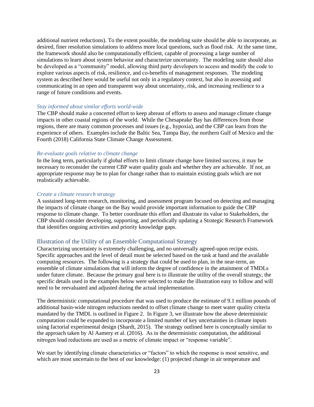additional nutrient reductions). To the extent possible, the modeling suite should be able to incorporate, as desired, finer resolution simulations to address more local questions, such as flood risk. At the same time, the framework should also be computationally efficient, capable of processing a large number of simulations to learn about system behavior and characterize uncertainty. The modeling suite should also be developed as a "community" model, allowing third party developers to access and modify the code to explore various aspects of risk, resilience, and co-benefits of management responses. The modeling system as described here would be useful not only in a regulatory context, but also in assessing and communicating in an open and transparent way about uncertainty, risk, and increasing resilience to a range of future conditions and events.

#### *Stay informed about similar efforts world-wide*

The CBP should make a concerted effort to keep abreast of efforts to assess and manage climate change impacts in other coastal regions of the world. While the Chesapeake Bay has differences from those regions, there are many common processes and issues (e.g., hypoxia), and the CBP can learn from the experience of others. Examples include the Baltic Sea, Tampa Bay, the northern Gulf of Mexico and the Fourth (2018) California State Climate Change Assessment.

#### *Re-evaluate goals relative to climate change*

In the long term, particularly if global efforts to limit climate change have limited success, it may be necessary to reconsider the current CBP water quality goals and whether they are achievable. If not, an appropriate response may be to plan for change rather than to maintain existing goals which are not realistically achievable.

#### *Create a climate research strategy*

A sustained long-term research, monitoring, and assessment program focused on detecting and managing the impacts of climate change on the Bay would provide important information to guide the CBP response to climate change. To better coordinate this effort and illustrate its value to Stakeholders, the CBP should consider developing, supporting, and periodically updating a Strategic Research Framework that identifies ongoing activities and priority knowledge gaps.

#### Illustration of the Utility of an Ensemble Computational Strategy

Characterizing uncertainty is extremely challenging, and no universally agreed-upon recipe exists. Specific approaches and the level of detail must be selected based on the task at hand and the available computing resources. The following is a strategy that could be used to plan, in the near-term, an ensemble of climate simulations that will inform the degree of confidence in the attainment of TMDLs under future climate. Because the primary goal here is to illustrate the utility of the overall strategy, the specific details used in the examples below were selected to make the illustration easy to follow and will need to be reevaluated and adjusted during the actual implementation.

The deterministic computational procedure that was used to produce the estimate of 9.1 million pounds of additional basin-wide nitrogen reductions needed to offset climate change to meet water quality criteria mandated by the TMDL is outlined in [Figure 2.](#page-18-1) In [Figure 3,](#page-23-0) we illustrate how the above deterministic computation could be expanded to incorporate a limited number of key uncertainties in climate inputs using factorial experimental design (Shardt, 2015). The strategy outlined here is conceptually similar to the approach taken by Al Aamery et al. (2016). As in the deterministic computation, the additional nitrogen load reductions are used as a metric of climate impact or "response variable".

We start by identifying climate characteristics or "factors" to which the response is most sensitive, and which are most uncertain to the best of our knowledge: (1) projected change in air temperature and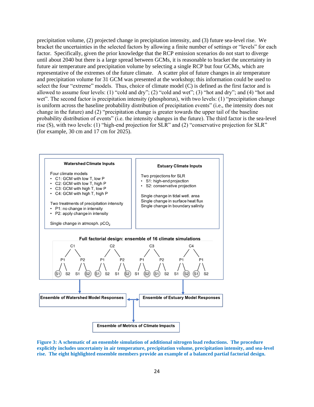precipitation volume, (2) projected change in precipitation intensity, and (3) future sea-level rise. We bracket the uncertainties in the selected factors by allowing a finite number of settings or "levels" for each factor. Specifically, given the prior knowledge that the RCP emission scenarios do not start to diverge until about 2040 but there is a large spread between GCMs, it is reasonable to bracket the uncertainty in future air temperature and precipitation volume by selecting a single RCP but four GCMs, which are representative of the extremes of the future climate. A scatter plot of future changes in air temperature and precipitation volume for 31 GCM was presented at the workshop; this information could be used to select the four "extreme" models. Thus, choice of climate model (C) is defined as the first factor and is allowed to assume four levels: (1) "cold and dry"; (2) "cold and wet"; (3) "hot and dry"; and (4) "hot and wet". The second factor is precipitation intensity (phosphorus), with two levels: (1) "precipitation change is uniform across the baseline probability distribution of precipitation events" (i.e., the intensity does not change in the future) and (2) "precipitation change is greater towards the upper tail of the baseline probability distribution of events" (i.e. the intensity changes in the future). The third factor is the sea-level rise (S), with two levels: (1) "high-end projection for SLR" and (2) "conservative projection for SLR" (for example, 30 cm and 17 cm for 2025).



<span id="page-23-0"></span>**Figure 3: A schematic of an ensemble simulation of additional nitrogen load reductions. The procedure explicitly includes uncertainty in air temperature, precipitation volume, precipitation intensity, and sea-level rise. The eight highlighted ensemble members provide an example of a balanced partial factorial design.**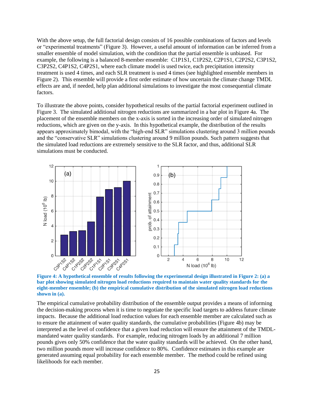With the above setup, the full factorial design consists of 16 possible combinations of factors and levels or "experimental treatments" [\(Figure 3\)](#page-23-0). However, a useful amount of information can be inferred from a smaller ensemble of model simulation, with the condition that the partial ensemble is unbiased. For example, the following is a balanced 8-member ensemble: C1P1S1, C1P2S2, C2P1S1, C2P2S2, C3P1S2, C3P2S2, C4P1S2, C4P2S1, where each climate model is used twice, each precipitation intensity treatment is used 4 times, and each SLR treatment is used 4 times (see highlighted ensemble members in Figure 2). This ensemble will provide a first order estimate of how uncertain the climate change TMDL effects are and, if needed, help plan additional simulations to investigate the most consequential climate factors.

To illustrate the above points, consider hypothetical results of the partial factorial experiment outlined in [Figure 3.](#page-23-0) The simulated additional nitrogen reductions are summarized in a bar plot in [Figure 4a](#page-24-0). The placement of the ensemble members on the x-axis is sorted in the increasing order of simulated nitrogen reductions, which are given on the y-axis. In this hypothetical example, the distribution of the results appears approximately bimodal, with the "high-end SLR" simulations clustering around 3 million pounds and the "conservative SLR" simulations clustering around 9 million pounds. Such pattern suggests that the simulated load reductions are extremely sensitive to the SLR factor, and thus, additional SLR simulations must be conducted.



<span id="page-24-0"></span>**bar plot showing simulated nitrogen load reductions required to maintain water quality standards for the eight-member ensemble; (b) the empirical cumulative distribution of the simulated nitrogen load reductions shown in (a).**

The empirical cumulative probability distribution of the ensemble output provides a means of informing the decision-making process when it is time to negotiate the specific load targets to address future climate impacts. Because the additional load reduction values for each ensemble member are calculated such as to ensure the attainment of water quality standards, the cumulative probabilities (Figure 4b) may be interpreted as the level of confidence that a given load reduction will ensure the attainment of the TMDLmandated water quality standards. For example, reducing nitrogen loads by an additional 7 million pounds gives only 50% confidence that the water quality standards will be achieved. On the other hand, two million pounds more will increase confidence to 80%. Confidence estimates in this example are generated assuming equal probability for each ensemble member. The method could be refined using likelihoods for each member.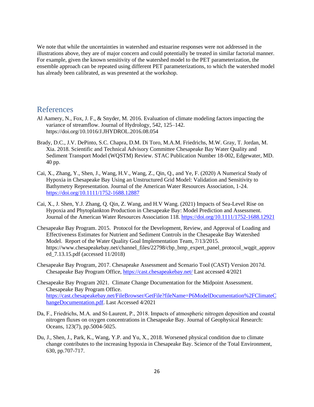We note that while the uncertainties in watershed and estuarine responses were not addressed in the illustrations above, they are of major concern and could potentially be treated in similar factorial manner. For example, given the known sensitivity of the watershed model to the PET parameterization, the ensemble approach can be repeated using different PET parameterizations, to which the watershed model has already been calibrated, as was presented at the workshop.

## References

- Al Aamery, N., Fox, J. F., & Snyder, M. 2016. Evaluation of climate modeling factors impacting the variance of streamflow. Journal of Hydrology, 542, 125–142. https://doi.org/10.1016/J.JHYDROL.2016.08.054
- Brady, D.C., J.V. DePinto, S.C. Chapra, D.M. Di Toro, M.A.M. Friedrichs, M.W. Gray, T. Jordan, M. Xia. 2018. Scientific and Technical Advisory Committee Chesapeake Bay Water Quality and Sediment Transport Model (WQSTM) Review. STAC Publication Number 18-002, Edgewater, MD. 40 pp.
- Cai, X., Zhang, Y., Shen, J., Wang, H.V., Wang, Z., Qin, Q., and Ye, F. (2020) A Numerical Study of Hypoxia in Chesapeake Bay Using an Unstructured Grid Model: Validation and Sensitivity to Bathymetry Representation. Journal of the American Water Resources Association, 1-24. <https://doi.org/10.1111/1752-1688.12887>
- Cai, X., J. Shen, Y.J. Zhang, Q. Qin, Z. Wang, and H.V Wang. (2021) Impacts of Sea-Level Rise on Hypoxia and Phytoplankton Production in Chesapeake Bay: Model Prediction and Assessment. Journal of the American Water Resources Association 118.<https://doi.org/10.1111/1752-1688.12921>
- Chesapeake Bay Program. 2015. Protocol for the Development, Review, and Approval of Loading and Effectiveness Estimates for Nutrient and Sediment Controls in the Chesapeake Bay Watershed Model. Report of the Water Quality Goal Implementation Team, 7/13/2015. https://www.chesapeakebay.net/channel\_files/22798/cbp\_bmp\_expert\_panel\_protocol\_wqgit\_approv ed\_7.13.15.pdf (accessed 11/2018)
- Chesapeake Bay Program, 2017. Chesapeake Assessment and Scenario Tool (CAST) Version 2017d. Chesapeake Bay Program Office,<https://cast.chesapeakebay.net/> Last accessed 4/2021
- Chesapeake Bay Program 2021. Climate Change Documentation for the Midpoint Assessment. Chesapeake Bay Program Office. [https://cast.chesapeakebay.net/FileBrowser/GetFile?fileName=P6ModelDocumentation%2FClimateC](https://cast.chesapeakebay.net/FileBrowser/GetFile?fileName=P6ModelDocumentation%2FClimateChangeDocumentation.pdf) [hangeDocumentation.pdf.](https://cast.chesapeakebay.net/FileBrowser/GetFile?fileName=P6ModelDocumentation%2FClimateChangeDocumentation.pdf) Last Accessed 4/2021
- Da, F., Friedrichs, M.A. and St-Laurent, P., 2018. Impacts of atmospheric nitrogen deposition and coastal nitrogen fluxes on oxygen concentrations in Chesapeake Bay. Journal of Geophysical Research: Oceans, 123(7), pp.5004-5025.
- Du, J., Shen, J., Park, K., Wang, Y.P. and Yu, X., 2018. Worsened physical condition due to climate change contributes to the increasing hypoxia in Chesapeake Bay. Science of the Total Environment, 630, pp.707-717.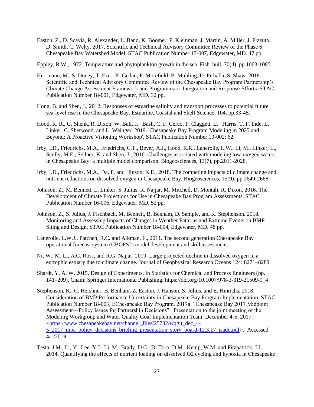- Easton, Z., D. Scavia, R. Alexander, L. Band, K. Boomer, P. Kleinman, J. Martin, A. Miller, J. Pizzuto, D. Smith, C. Welty. 2017. Scientific and Technical Advisory Committee Review of the Phase 6 Chesapeake Bay Watershed Model. STAC Publication Number 17-007, Edgewater, MD. 47 pp.
- Eppley, R.W., 1972. Temperature and phytoplankton growth in the sea. Fish. bull, 70(4), pp.1063-1085.
- Herrmann, M., S. Doney, T. Ezer, K. Gedan, P. Morefield, B. Muhling, D. Pirhalla, S. Shaw. 2018. Scientific and Technical Advisory Committee Review of the Chesapeake Bay Program Partnership's Climate Change Assessment Framework and Programmatic Integration and Response Efforts. STAC Publication Number 18-001, Edgewater, MD. 32 pp.
- Hong, B. and Shen, J., 2012. Responses of estuarine salinity and transport processes to potential future sea-level rise in the Chesapeake Bay. Estuarine, Coastal and Shelf Science, 104, pp.33-45.
- Hood, R. R., G. Shenk, R. Dixon, W. Ball, J. Bash, C. F. Cerco, P. Claggett, L. Harris, T. F. Ihde, L. Linker, C. Sherwood, and L. Wainger. 2019. 'Chesapeake Bay Program Modeling in 2025 and Beyond: A Proactive Visioning Workshop', STAC Publication Number 19-002: 62.
- Irby, I.D., Friedrichs, M.A., Friedrichs, C.T., Bever, A.J., Hood, R.R., Lanerolle, L.W., Li, M., Linker, L., Scully, M.E., Sellner, K. and Shen, J., 2016. Challenges associated with modeling low-oxygen waters in Chesapeake Bay: a multiple model comparison. Biogeosciences, 13(7), pp.2011-2028.
- Irby, I.D., Friedrichs, M.A., Da, F. and Hinson, K.E., 2018. The competing impacts of climate change and nutrient reductions on dissolved oxygen in Chesapeake Bay. Biogeosciences, 15(9), pp.2649-2668.
- Johnson, Z., M. Bennett, L. Linker, S. Julius, R. Najjar, M. Mitchell, D. Montali, R. Dixon. 2016. The Development of Climate Projections for Use in Chesapeake Bay Program Assessments. STAC Publication Number 16-006, Edgewater, MD. 52 pp.
- Johnson, Z., S. Julius, J. Fischbach, M. Bennett, B. Benham, D. Sample, and K. Stephenson. 2018. Monitoring and Assessing Impacts of Changes in Weather Patterns and Extreme Events on BMP Siting and Design. STAC Publication Number 18-004, Edgewater, MD. 48 pp.
- Lanerolle, L.W.J., Patchen, R.C. and Aikman, F., 2011. The second generation Chesapeake Bay operational forecast system (CBOFS2) model development and skill assessment.
- Ni, W., M. Li, A.C. Ross, and R.G. Najjar. 2019. Large projected decline in dissolved oxygen in a eutrophic estuary due to climate change. Journal of Geophysical Research Oceans 124: 8271–8289
- Shardt, Y. A. W. 2015. Design of Experiments. In Statistics for Chemical and Process Engineers (pp. 141–209). Cham: Springer International Publishing. https://doi.org/10.1007/978-3-319-21509-9\_4
- Stephenson, K., C. Hershner, B. Benham, Z. Easton, J. Hanson, S. Julius, and E. Hinrichs. 2018. Consideration of BMP Performance Uncertainty in Chesapeake Bay Program Implementation. STAC Publication Number 18-003, EChesapeake Bay Program. 2017a. "Chesapeake Bay 2017 Midpoint Assessment—Policy Issues for Partnership Decisions". Presentation to the joint meeting of the Modeling Workgroup and Water Quality Goal Implementation Team, December 4-5, 2017. [<https://www.chesapeakebay.net/channel\\_files/25782/wqgit\\_dec\\_4-](https://www.chesapeakebay.net/channel_files/25782/wqgit_dec_4-5_2017_mpa_policy_decisions_briefing_presentation_story_board-12.3.17_jsadd.pdf) [5\\_2017\\_mpa\\_policy\\_decisions\\_briefing\\_presentation\\_story\\_board-12.3.17\\_jsadd.pdf>](https://www.chesapeakebay.net/channel_files/25782/wqgit_dec_4-5_2017_mpa_policy_decisions_briefing_presentation_story_board-12.3.17_jsadd.pdf). Accessed 4/1/2019.
- Testa, J.M., Li, Y., Lee, Y.J., Li, M., Brady, D.C., Di Toro, D.M., Kemp, W.M. and Fitzpatrick, J.J., 2014. Quantifying the effects of nutrient loading on dissolved O2 cycling and hypoxia in Chesapeake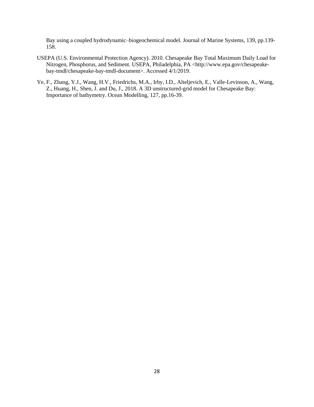Bay using a coupled hydrodynamic–biogeochemical model. Journal of Marine Systems, 139, pp.139- 158.

- USEPA (U.S. Environmental Protection Agency). 2010. Chesapeake Bay Total Maximum Daily Load for Nitrogen, Phosphorus, and Sediment. USEPA, Philadelphia, PA <http://www.epa.gov/chesapeakebay-tmdl/chesapeake-bay-tmdl-document>. Accessed 4/1/2019.
- Ye, F., Zhang, Y.J., Wang, H.V., Friedrichs, M.A., Irby, I.D., Alteljevich, E., Valle-Levinson, A., Wang, Z., Huang, H., Shen, J. and Du, J., 2018. A 3D unstructured-grid model for Chesapeake Bay: Importance of bathymetry. Ocean Modelling, 127, pp.16-39.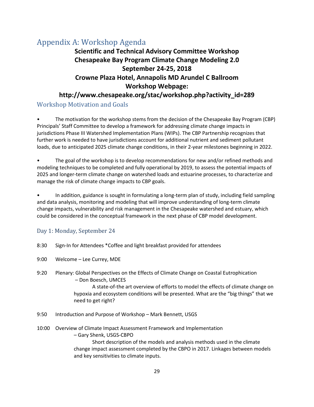## Appendix A: Workshop Agenda

## **Scientific and Technical Advisory Committee Workshop Chesapeake Bay Program Climate Change Modeling 2.0 September 24-25, 2018 Crowne Plaza Hotel, Annapolis MD Arundel C Ballroom Workshop Webpage:**

## **http://www.chesapeake.org/stac/workshop.php?activity\_id=289**

## Workshop Motivation and Goals

• The motivation for the workshop stems from the decision of the Chesapeake Bay Program (CBP) Principals' Staff Committee to develop a framework for addressing climate change impacts in jurisdictions Phase III Watershed Implementation Plans (WIPs). The CBP Partnership recognizes that further work is needed to have jurisdictions account for additional nutrient and sediment pollutant loads, due to anticipated 2025 climate change conditions, in their 2-year milestones beginning in 2022.

• The goal of the workshop is to develop recommendations for new and/or refined methods and modeling techniques to be completed and fully operational by 2019, to assess the potential impacts of 2025 and longer-term climate change on watershed loads and estuarine processes, to characterize and manage the risk of climate change impacts to CBP goals.

• In addition, guidance is sought in formulating a long-term plan of study, including field sampling and data analysis, monitoring and modeling that will improve understanding of long-term climate change impacts, vulnerability and risk management in the Chesapeake watershed and estuary, which could be considered in the conceptual framework in the next phase of CBP model development.

## Day 1: Monday, September 24

8:30 Sign-In for Attendees \*Coffee and light breakfast provided for attendees

9:00 Welcome – Lee Currey, MDE

9:20 Plenary: Global Perspectives on the Effects of Climate Change on Coastal Eutrophication – Don Boesch, UMCES

> A state-of-the art overview of efforts to model the effects of climate change on hypoxia and ecosystem conditions will be presented. What are the "big things" that we need to get right?

- 9:50 Introduction and Purpose of Workshop Mark Bennett, USGS
- 10:00 Overview of Climate Impact Assessment Framework and Implementation

## – Gary Shenk, USGS-CBPO

Short description of the models and analysis methods used in the climate change impact assessment completed by the CBPO in 2017. Linkages between models and key sensitivities to climate inputs.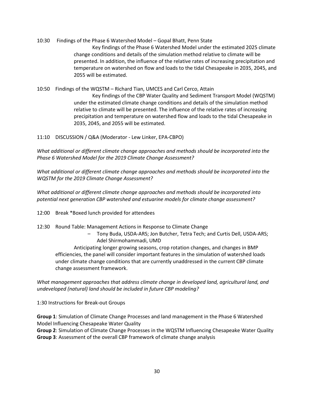10:30 Findings of the Phase 6 Watershed Model – Gopal Bhatt, Penn State Key findings of the Phase 6 Watershed Model under the estimated 2025 climate change conditions and details of the simulation method relative to climate will be presented. In addition, the influence of the relative rates of increasing precipitation and temperature on watershed on flow and loads to the tidal Chesapeake in 2035, 2045, and 2055 will be estimated.

10:50 Findings of the WQSTM – Richard Tian, UMCES and Carl Cerco, Attain

Key findings of the CBP Water Quality and Sediment Transport Model (WQSTM) under the estimated climate change conditions and details of the simulation method relative to climate will be presented. The influence of the relative rates of increasing precipitation and temperature on watershed flow and loads to the tidal Chesapeake in 2035, 2045, and 2055 will be estimated.

11:10 DISCUSSION / Q&A (Moderator - Lew Linker, EPA-CBPO)

*What additional or different climate change approaches and methods should be incorporated into the Phase 6 Watershed Model for the 2019 Climate Change Assessment?*

*What additional or different climate change approaches and methods should be incorporated into the WQSTM for the 2019 Climate Change Assessment?*

*What additional or different climate change approaches and methods should be incorporated into potential next generation CBP watershed and estuarine models for climate change assessment?*

12:00 Break \*Boxed lunch provided for attendees

- 12:30 Round Table: Management Actions in Response to Climate Change
	- Tony Buda, USDA-ARS; Jon Butcher, Tetra Tech; and Curtis Dell, USDA-ARS; Adel Shirmohammadi, UMD

Anticipating longer growing seasons, crop rotation changes, and changes in BMP efficiencies, the panel will consider important features in the simulation of watershed loads under climate change conditions that are currently unaddressed in the current CBP climate change assessment framework.

*What management approaches that address climate change in developed land, agricultural land, and undeveloped (natural) land should be included in future CBP modeling?*

1:30 Instructions for Break-out Groups

**Group 1**: Simulation of Climate Change Processes and land management in the Phase 6 Watershed Model Influencing Chesapeake Water Quality

**Group 2**: Simulation of Climate Change Processes in the WQSTM Influencing Chesapeake Water Quality **Group 3**: Assessment of the overall CBP framework of climate change analysis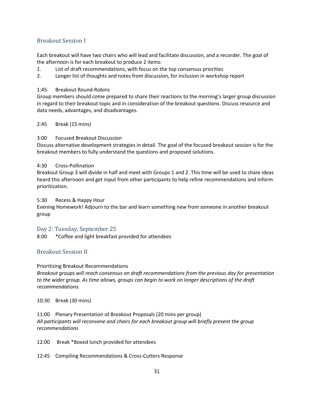## Breakout Session I

Each breakout will have two chairs who will lead and facilitate discussion, and a recorder. The goal of the afternoon is for each breakout to produce 2 items:

- 1. List of draft recommendations, with focus on the top consensus priorities
- 2. Longer list of thoughts and notes from discussion, for inclusion in workshop report

## 1:45 Breakout Round-Robins

Group members should come prepared to share their reactions to the morning's larger group discussion in regard to their breakout topic and in consideration of the breakout questions. Discuss resource and data needs, advantages, and disadvantages.

## 2:45 Break (15 mins)

## 3:00 Focused Breakout Discussion

Discuss alternative development strategies in detail. The goal of the focused breakout session is for the breakout members to fully understand the questions and proposed solutions.

## 4:30 Cross-Pollination

Breakout Group 3 will divide in half and meet with Groups 1 and 2. This time will be used to share ideas heard this afternoon and get input from other participants to help refine recommendations and inform prioritization.

## 5:30 Recess & Happy Hour

Evening Homework! Adjourn to the bar and learn something new from someone in another breakout group

## Day 2: Tuesday, September 25

8:00 \*Coffee and light breakfast provided for attendees

## Breakout Session II

## Prioritizing Breakout Recommendations

*Breakout groups will reach consensus on draft recommendations from the previous day for presentation to the wider group. As time allows, groups can begin to work on longer descriptions of the draft recommendations.*

10:30 Break (30 mins)

11:00 Plenary Presentation of Breakout Proposals (20 mins per group) *All participants will reconvene and chairs for each breakout group will briefly present the group recommendations*

12:00 Break \*Boxed lunch provided for attendees

## 12:45 Compiling Recommendations & Cross-Cutters Response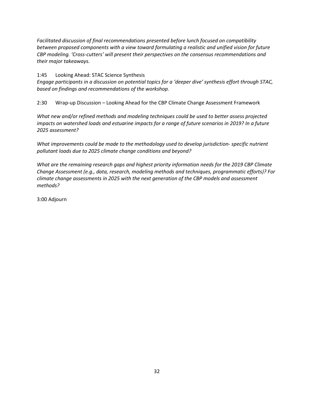*Facilitated discussion of final recommendations presented before lunch focused on compatibility between proposed components with a view toward formulating a realistic and unified vision for future CBP modeling. 'Cross-cutters' will present their perspectives on the consensus recommendations and their major takeaways.*

#### 1:45 Looking Ahead: STAC Science Synthesis

*Engage participants in a discussion on potential topics for a 'deeper dive' synthesis effort through STAC, based on findings and recommendations of the workshop.*

2:30 Wrap-up Discussion – Looking Ahead for the CBP Climate Change Assessment Framework

*What new and/or refined methods and modeling techniques could be used to better assess projected impacts on watershed loads and estuarine impacts for a range of future scenarios in 2019? In a future 2025 assessment?*

*What improvements could be made to the methodology used to develop jurisdiction- specific nutrient pollutant loads due to 2025 climate change conditions and beyond?*

*What are the remaining research gaps and highest priority information needs for the 2019 CBP Climate Change Assessment (e.g., data, research, modeling methods and techniques, programmatic efforts)? For climate change assessments in 2025 with the next generation of the CBP models and assessment methods?*

3:00 Adjourn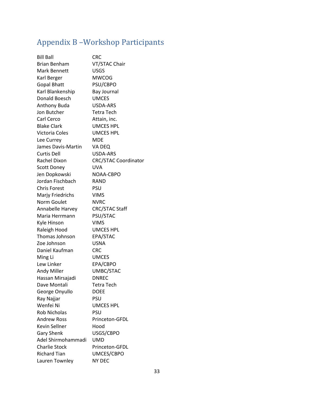# Appendix B –Workshop Participants

| <b>Bill Ball</b>     | <b>CRC</b>                  |
|----------------------|-----------------------------|
| <b>Brian Benham</b>  | VT/STAC Chair               |
| Mark Bennett         | USGS                        |
| Karl Berger          | <b>MWCOG</b>                |
| <b>Gopal Bhatt</b>   | PSU/CBPO                    |
| Karl Blankenship     | <b>Bay Journal</b>          |
| Donald Boesch        | <b>UMCES</b>                |
| Anthony Buda         | <b>USDA-ARS</b>             |
| Jon Butcher          | <b>Tetra Tech</b>           |
| Carl Cerco           | Attain, inc.                |
| <b>Blake Clark</b>   | <b>UMCES HPL</b>            |
| Victoria Coles       | <b>UMCES HPL</b>            |
| Lee Currey           | MDE                         |
| James Davis-Martin   | VA DEQ                      |
| <b>Curtis Dell</b>   | USDA-ARS                    |
| Rachel Dixon         | <b>CRC/STAC Coordinator</b> |
| <b>Scott Doney</b>   | <b>UVA</b>                  |
| Jen Dopkowski        | NOAA-CBPO                   |
| Jordan Fischbach     | <b>RAND</b>                 |
| <b>Chris Forest</b>  | <b>PSU</b>                  |
| Marjy Friedrichs     | <b>VIMS</b>                 |
| Norm Goulet          | <b>NVRC</b>                 |
| Annabelle Harvey     | <b>CRC/STAC Staff</b>       |
| Maria Herrmann       | PSU/STAC                    |
| Kyle Hinson          | <b>VIMS</b>                 |
| Raleigh Hood         | <b>UMCES HPL</b>            |
| Thomas Johnson       | EPA/STAC                    |
| Zoe Johnson          | <b>USNA</b>                 |
| Daniel Kaufman       | <b>CRC</b>                  |
| Ming Li              | <b>UMCES</b>                |
| Lew Linker           | EPA/CBPO                    |
| <b>Andy Miller</b>   | UMBC/STAC                   |
| Hassan Mirsajadi     | <b>DNREC</b>                |
| Dave Montali         | <b>Tetra Tech</b>           |
| George Onyullo       | <b>DOEE</b>                 |
| Ray Najjar           | PSU                         |
| Wenfei Ni            | <b>UMCES HPL</b>            |
| <b>Rob Nicholas</b>  | PSU                         |
| <b>Andrew Ross</b>   | Princeton-GFDL              |
| Kevin Sellner        | Hood                        |
| <b>Gary Shenk</b>    | USGS/CBPO                   |
| Adel Shirmohammadi   | <b>UMD</b>                  |
| <b>Charlie Stock</b> | Princeton-GFDL              |
| <b>Richard Tian</b>  | UMCES/CBPO                  |
| Lauren Townley       | <b>NY DEC</b>               |
|                      |                             |